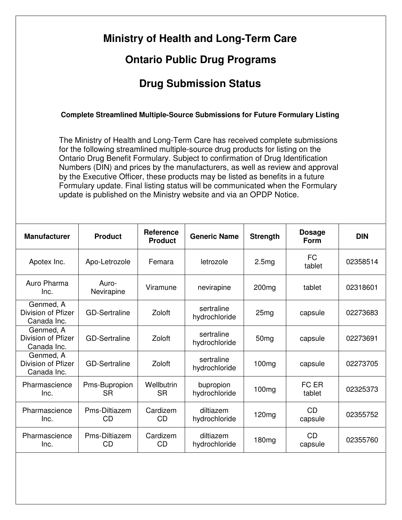| <b>Ontario Public Drug Programs</b>                                                                                                                                                                                                                                                                                                                                                                                                                                                                                                                                                                                                                                 |                            |                                    |                             |                   |                       |            |  |  |  |  |  |
|---------------------------------------------------------------------------------------------------------------------------------------------------------------------------------------------------------------------------------------------------------------------------------------------------------------------------------------------------------------------------------------------------------------------------------------------------------------------------------------------------------------------------------------------------------------------------------------------------------------------------------------------------------------------|----------------------------|------------------------------------|-----------------------------|-------------------|-----------------------|------------|--|--|--|--|--|
| <b>Drug Submission Status</b>                                                                                                                                                                                                                                                                                                                                                                                                                                                                                                                                                                                                                                       |                            |                                    |                             |                   |                       |            |  |  |  |  |  |
| <b>Complete Streamlined Multiple-Source Submissions for Future Formulary Listing</b><br>The Ministry of Health and Long-Term Care has received complete submissions<br>for the following streamlined multiple-source drug products for listing on the<br>Ontario Drug Benefit Formulary. Subject to confirmation of Drug Identification<br>Numbers (DIN) and prices by the manufacturers, as well as review and approval<br>by the Executive Officer, these products may be listed as benefits in a future<br>Formulary update. Final listing status will be communicated when the Formulary<br>update is published on the Ministry website and via an OPDP Notice. |                            |                                    |                             |                   |                       |            |  |  |  |  |  |
| <b>Manufacturer</b>                                                                                                                                                                                                                                                                                                                                                                                                                                                                                                                                                                                                                                                 | <b>Product</b>             | <b>Reference</b><br><b>Product</b> | <b>Generic Name</b>         | <b>Strength</b>   | <b>Dosage</b><br>Form | <b>DIN</b> |  |  |  |  |  |
| Apotex Inc.                                                                                                                                                                                                                                                                                                                                                                                                                                                                                                                                                                                                                                                         | Apo-Letrozole              | Femara                             | letrozole                   | 2.5mg             | <b>FC</b><br>tablet   | 02358514   |  |  |  |  |  |
| Auro Pharma<br>Inc.                                                                                                                                                                                                                                                                                                                                                                                                                                                                                                                                                                                                                                                 | Auro-<br>Nevirapine        | Viramune                           | nevirapine                  | 200 <sub>mg</sub> | tablet                | 02318601   |  |  |  |  |  |
| Genmed, A<br>Division of Pfizer<br>Canada Inc.                                                                                                                                                                                                                                                                                                                                                                                                                                                                                                                                                                                                                      | <b>GD-Sertraline</b>       | Zoloft                             | sertraline<br>hydrochloride | 25 <sub>mg</sub>  | capsule               | 02273683   |  |  |  |  |  |
| Genmed, A<br>Division of Pfizer<br>Canada Inc.                                                                                                                                                                                                                                                                                                                                                                                                                                                                                                                                                                                                                      | <b>GD-Sertraline</b>       | Zoloft                             | sertraline<br>hydrochloride | 50 <sub>mg</sub>  | capsule               | 02273691   |  |  |  |  |  |
| Genmed, A<br>Division of Pfizer<br>Canada Inc.                                                                                                                                                                                                                                                                                                                                                                                                                                                                                                                                                                                                                      | <b>GD-Sertraline</b>       | Zoloft                             | sertraline<br>hydrochloride | 100 <sub>mg</sub> | capsule               | 02273705   |  |  |  |  |  |
| Pharmascience<br>Inc.                                                                                                                                                                                                                                                                                                                                                                                                                                                                                                                                                                                                                                               | Pms-Bupropion<br><b>SR</b> | Wellbutrin<br><b>SR</b>            | bupropion<br>hydrochloride  | 100 <sub>mg</sub> | FC ER<br>tablet       | 02325373   |  |  |  |  |  |
| Pharmascience<br>Inc.                                                                                                                                                                                                                                                                                                                                                                                                                                                                                                                                                                                                                                               | Pms-Diltiazem<br>CD        | Cardizem<br>CD                     | diltiazem<br>hydrochloride  | 120 <sub>mg</sub> | <b>CD</b><br>capsule  | 02355752   |  |  |  |  |  |
| Pharmascience                                                                                                                                                                                                                                                                                                                                                                                                                                                                                                                                                                                                                                                       | Pms-Diltiazem              | Cardizem<br>CD                     | diltiazem<br>hydrochloride  | 180 <sub>mg</sub> | <b>CD</b><br>capsule  | 02355760   |  |  |  |  |  |